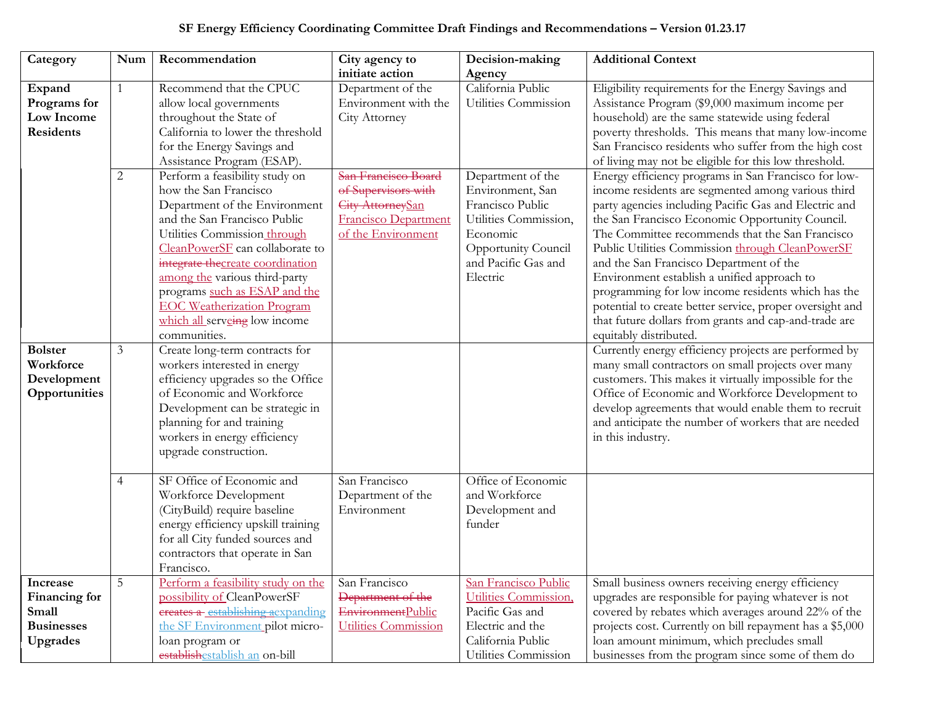## **SF Energy Efficiency Coordinating Committee Draft Findings and Recommendations – Version 01.23.17**

| Category                                                                                                                | Num                                 | Recommendation                                                                                                                                                                                                                                                                                                                                                                                                                                                                                                                                                                                                                                                                                                                                   | City agency to                                                                                                                                                                                       | Decision-making                                                                                                                                                                                                 | <b>Additional Context</b>                                                                                                                                                                                                                                                                                                                                                                                                                                                                                                                                                                                                                                                                                                                                                                                                                                                                                                                                                                                                                                                                                                                                                                                                                            |
|-------------------------------------------------------------------------------------------------------------------------|-------------------------------------|--------------------------------------------------------------------------------------------------------------------------------------------------------------------------------------------------------------------------------------------------------------------------------------------------------------------------------------------------------------------------------------------------------------------------------------------------------------------------------------------------------------------------------------------------------------------------------------------------------------------------------------------------------------------------------------------------------------------------------------------------|------------------------------------------------------------------------------------------------------------------------------------------------------------------------------------------------------|-----------------------------------------------------------------------------------------------------------------------------------------------------------------------------------------------------------------|------------------------------------------------------------------------------------------------------------------------------------------------------------------------------------------------------------------------------------------------------------------------------------------------------------------------------------------------------------------------------------------------------------------------------------------------------------------------------------------------------------------------------------------------------------------------------------------------------------------------------------------------------------------------------------------------------------------------------------------------------------------------------------------------------------------------------------------------------------------------------------------------------------------------------------------------------------------------------------------------------------------------------------------------------------------------------------------------------------------------------------------------------------------------------------------------------------------------------------------------------|
| Expand<br>Programs for<br>Low Income<br><b>Residents</b><br><b>Bolster</b><br>Workforce<br>Development<br>Opportunities | $\mathbf{1}$<br>$\overline{2}$<br>3 | Recommend that the CPUC<br>allow local governments<br>throughout the State of<br>California to lower the threshold<br>for the Energy Savings and<br>Assistance Program (ESAP).<br>Perform a feasibility study on<br>how the San Francisco<br>Department of the Environment<br>and the San Francisco Public<br>Utilities Commission through<br>CleanPowerSF can collaborate to<br>integrate thecreate coordination<br>among the various third-party<br>programs such as ESAP and the<br><b>EOC</b> Weatherization Program<br>which all serveing low income<br>communities.<br>Create long-term contracts for<br>workers interested in energy<br>efficiency upgrades so the Office<br>of Economic and Workforce<br>Development can be strategic in | initiate action<br>Department of the<br>Environment with the<br>City Attorney<br>San Francisco Board<br>of Supervisors with<br><b>City AttorneySan</b><br>Francisco Department<br>of the Environment | Agency<br>California Public<br>Utilities Commission<br>Department of the<br>Environment, San<br>Francisco Public<br>Utilities Commission,<br>Economic<br>Opportunity Council<br>and Pacific Gas and<br>Electric | Eligibility requirements for the Energy Savings and<br>Assistance Program (\$9,000 maximum income per<br>household) are the same statewide using federal<br>poverty thresholds. This means that many low-income<br>San Francisco residents who suffer from the high cost<br>of living may not be eligible for this low threshold.<br>Energy efficiency programs in San Francisco for low-<br>income residents are segmented among various third<br>party agencies including Pacific Gas and Electric and<br>the San Francisco Economic Opportunity Council.<br>The Committee recommends that the San Francisco<br>Public Utilities Commission through CleanPowerSF<br>and the San Francisco Department of the<br>Environment establish a unified approach to<br>programming for low income residents which has the<br>potential to create better service, proper oversight and<br>that future dollars from grants and cap-and-trade are<br>equitably distributed.<br>Currently energy efficiency projects are performed by<br>many small contractors on small projects over many<br>customers. This makes it virtually impossible for the<br>Office of Economic and Workforce Development to<br>develop agreements that would enable them to recruit |
|                                                                                                                         | $\overline{4}$                      | planning for and training<br>workers in energy efficiency<br>upgrade construction.<br>SF Office of Economic and<br>Workforce Development<br>(CityBuild) require baseline<br>energy efficiency upskill training<br>for all City funded sources and<br>contractors that operate in San<br>Francisco.                                                                                                                                                                                                                                                                                                                                                                                                                                               | San Francisco<br>Department of the<br>Environment                                                                                                                                                    | Office of Economic<br>and Workforce<br>Development and<br>funder                                                                                                                                                | and anticipate the number of workers that are needed<br>in this industry.                                                                                                                                                                                                                                                                                                                                                                                                                                                                                                                                                                                                                                                                                                                                                                                                                                                                                                                                                                                                                                                                                                                                                                            |
| Increase<br>Financing for<br>Small<br><b>Businesses</b><br>Upgrades                                                     | $\overline{5}$                      | Perform a feasibility study on the<br>possibility of CleanPowerSF<br>creates a establishing aexpanding<br>the SF Environment pilot micro-<br>loan program or<br>establishestablish an on-bill                                                                                                                                                                                                                                                                                                                                                                                                                                                                                                                                                    | San Francisco<br>Department of the<br>EnvironmentPublic<br>Utilities Commission                                                                                                                      | San Francisco Public<br>Utilities Commission,<br>Pacific Gas and<br>Electric and the<br>California Public<br>Utilities Commission                                                                               | Small business owners receiving energy efficiency<br>upgrades are responsible for paying whatever is not<br>covered by rebates which averages around 22% of the<br>projects cost. Currently on bill repayment has a \$5,000<br>loan amount minimum, which precludes small<br>businesses from the program since some of them do                                                                                                                                                                                                                                                                                                                                                                                                                                                                                                                                                                                                                                                                                                                                                                                                                                                                                                                       |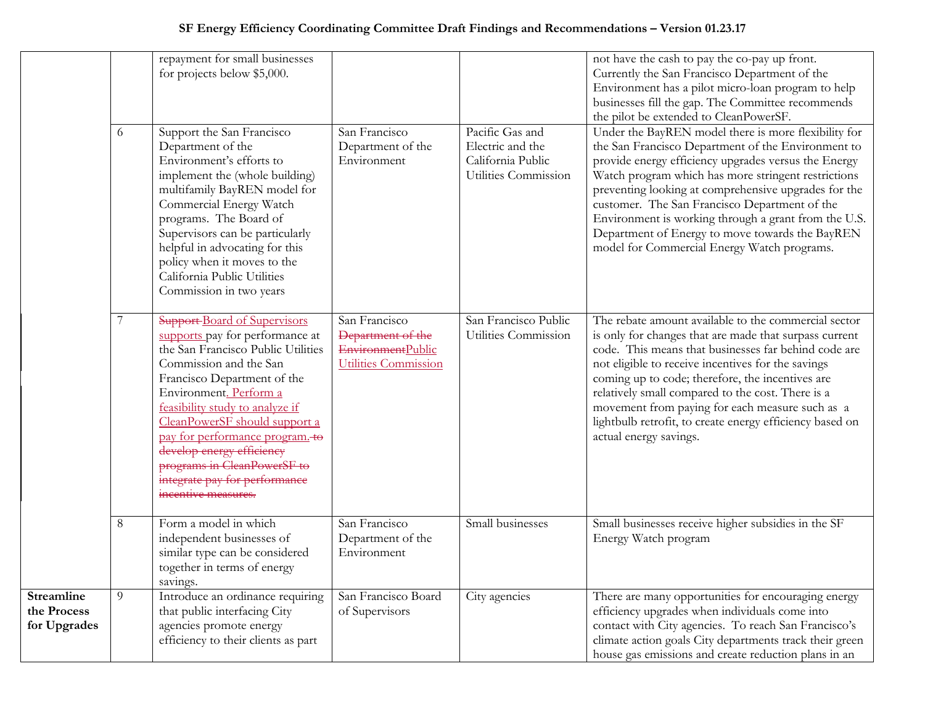| 6                                                |   | repayment for small businesses<br>for projects below \$5,000.<br>Support the San Francisco<br>Department of the<br>Environment's efforts to<br>implement the (whole building)<br>multifamily BayREN model for<br>Commercial Energy Watch<br>programs. The Board of<br>Supervisors can be particularly<br>helpful in advocating for this<br>policy when it moves to the<br>California Public Utilities<br>Commission in two years | San Francisco<br>Department of the<br>Environment                               | Pacific Gas and<br>Electric and the<br>California Public<br>Utilities Commission | not have the cash to pay the co-pay up front.<br>Currently the San Francisco Department of the<br>Environment has a pilot micro-loan program to help<br>businesses fill the gap. The Committee recommends<br>the pilot be extended to CleanPowerSF.<br>Under the BayREN model there is more flexibility for<br>the San Francisco Department of the Environment to<br>provide energy efficiency upgrades versus the Energy<br>Watch program which has more stringent restrictions<br>preventing looking at comprehensive upgrades for the<br>customer. The San Francisco Department of the<br>Environment is working through a grant from the U.S.<br>Department of Energy to move towards the BayREN<br>model for Commercial Energy Watch programs. |
|--------------------------------------------------|---|----------------------------------------------------------------------------------------------------------------------------------------------------------------------------------------------------------------------------------------------------------------------------------------------------------------------------------------------------------------------------------------------------------------------------------|---------------------------------------------------------------------------------|----------------------------------------------------------------------------------|-----------------------------------------------------------------------------------------------------------------------------------------------------------------------------------------------------------------------------------------------------------------------------------------------------------------------------------------------------------------------------------------------------------------------------------------------------------------------------------------------------------------------------------------------------------------------------------------------------------------------------------------------------------------------------------------------------------------------------------------------------|
|                                                  |   | Support Board of Supervisors<br>supports pay for performance at<br>the San Francisco Public Utilities<br>Commission and the San<br>Francisco Department of the<br>Environment. Perform a<br>feasibility study to analyze if<br>CleanPowerSF should support a<br>pay for performance program.<br>develop energy efficiency<br>programs in CleanPowerSF to<br>integrate pay for performance<br>incentive measures.                 | San Francisco<br>Department of the<br>EnvironmentPublic<br>Utilities Commission | San Francisco Public<br>Utilities Commission                                     | The rebate amount available to the commercial sector<br>is only for changes that are made that surpass current<br>code. This means that businesses far behind code are<br>not eligible to receive incentives for the savings<br>coming up to code; therefore, the incentives are<br>relatively small compared to the cost. There is a<br>movement from paying for each measure such as a<br>lightbulb retrofit, to create energy efficiency based on<br>actual energy savings.                                                                                                                                                                                                                                                                      |
|                                                  | 8 | Form a model in which<br>independent businesses of<br>similar type can be considered<br>together in terms of energy<br>savings.                                                                                                                                                                                                                                                                                                  | San Francisco<br>Department of the<br>Environment                               | Small businesses                                                                 | Small businesses receive higher subsidies in the SF<br>Energy Watch program                                                                                                                                                                                                                                                                                                                                                                                                                                                                                                                                                                                                                                                                         |
| <b>Streamline</b><br>the Process<br>for Upgrades | 9 | Introduce an ordinance requiring<br>that public interfacing City<br>agencies promote energy<br>efficiency to their clients as part                                                                                                                                                                                                                                                                                               | San Francisco Board<br>of Supervisors                                           | City agencies                                                                    | There are many opportunities for encouraging energy<br>efficiency upgrades when individuals come into<br>contact with City agencies. To reach San Francisco's<br>climate action goals City departments track their green<br>house gas emissions and create reduction plans in an                                                                                                                                                                                                                                                                                                                                                                                                                                                                    |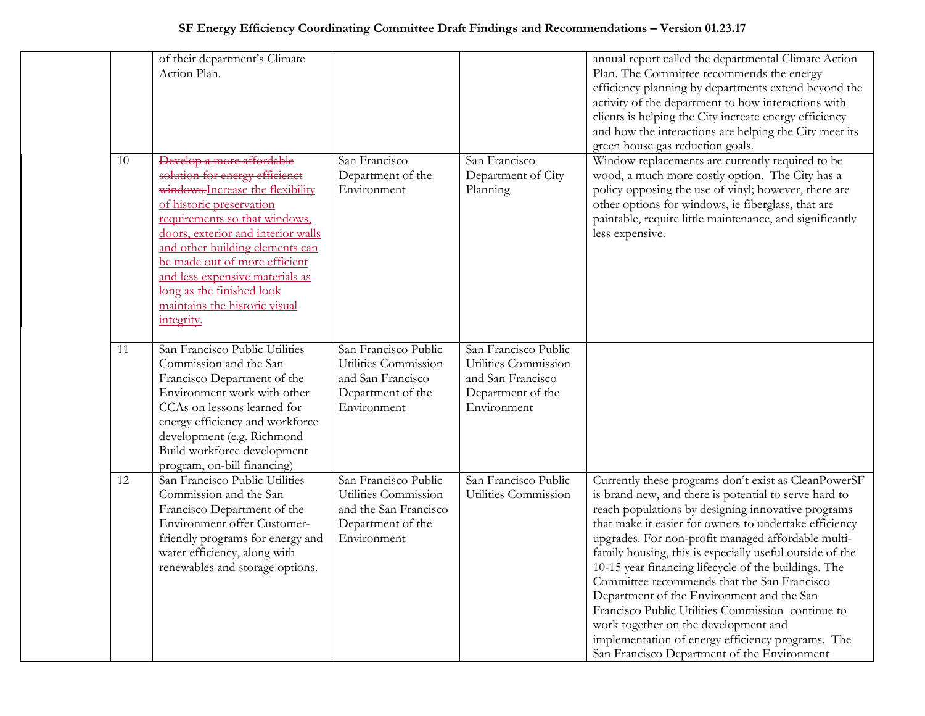## **SF Energy Efficiency Coordinating Committee Draft Findings and Recommendations – Version 01.23.17**

| 10 | of their department's Climate<br>Action Plan.<br>Develop a more affordable                                                                                                                                                                                                                                                                                | San Francisco                                                                                             | San Francisco                                                                                         | annual report called the departmental Climate Action<br>Plan. The Committee recommends the energy<br>efficiency planning by departments extend beyond the<br>activity of the department to how interactions with<br>clients is helping the City increate energy efficiency<br>and how the interactions are helping the City meet its<br>green house gas reduction goals.<br>Window replacements are currently required to be                                                                                                                                                                                                                                                                         |
|----|-----------------------------------------------------------------------------------------------------------------------------------------------------------------------------------------------------------------------------------------------------------------------------------------------------------------------------------------------------------|-----------------------------------------------------------------------------------------------------------|-------------------------------------------------------------------------------------------------------|------------------------------------------------------------------------------------------------------------------------------------------------------------------------------------------------------------------------------------------------------------------------------------------------------------------------------------------------------------------------------------------------------------------------------------------------------------------------------------------------------------------------------------------------------------------------------------------------------------------------------------------------------------------------------------------------------|
|    | solution for energy efficienct<br>windows. Increase the flexibility<br>of historic preservation<br>requirements so that windows,<br>doors, exterior and interior walls<br>and other building elements can<br>be made out of more efficient<br>and less expensive materials as<br>long as the finished look<br>maintains the historic visual<br>integrity. | Department of the<br>Environment                                                                          | Department of City<br>Planning                                                                        | wood, a much more costly option. The City has a<br>policy opposing the use of vinyl; however, there are<br>other options for windows, ie fiberglass, that are<br>paintable, require little maintenance, and significantly<br>less expensive.                                                                                                                                                                                                                                                                                                                                                                                                                                                         |
| 11 | San Francisco Public Utilities<br>Commission and the San<br>Francisco Department of the<br>Environment work with other<br>CCAs on lessons learned for<br>energy efficiency and workforce<br>development (e.g. Richmond<br>Build workforce development<br>program, on-bill financing)                                                                      | San Francisco Public<br>Utilities Commission<br>and San Francisco<br>Department of the<br>Environment     | San Francisco Public<br>Utilities Commission<br>and San Francisco<br>Department of the<br>Environment |                                                                                                                                                                                                                                                                                                                                                                                                                                                                                                                                                                                                                                                                                                      |
| 12 | San Francisco Public Utilities<br>Commission and the San<br>Francisco Department of the<br>Environment offer Customer-<br>friendly programs for energy and<br>water efficiency, along with<br>renewables and storage options.                                                                                                                             | San Francisco Public<br>Utilities Commission<br>and the San Francisco<br>Department of the<br>Environment | San Francisco Public<br>Utilities Commission                                                          | Currently these programs don't exist as CleanPowerSF<br>is brand new, and there is potential to serve hard to<br>reach populations by designing innovative programs<br>that make it easier for owners to undertake efficiency<br>upgrades. For non-profit managed affordable multi-<br>family housing, this is especially useful outside of the<br>10-15 year financing lifecycle of the buildings. The<br>Committee recommends that the San Francisco<br>Department of the Environment and the San<br>Francisco Public Utilities Commission continue to<br>work together on the development and<br>implementation of energy efficiency programs. The<br>San Francisco Department of the Environment |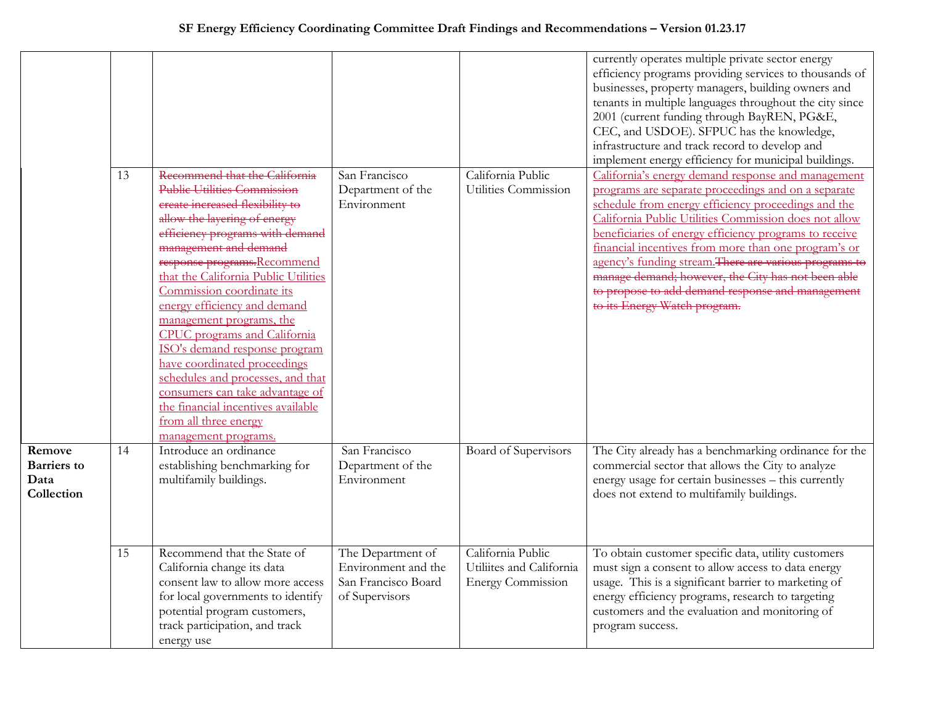|                                                    | 13 | Recommend that the California<br>Public Utilities Commission<br>ereate increased flexibility to<br>allow the layering of energy<br>efficiency programs with demand<br>management and demand<br>response programs. Recommend<br>that the California Public Utilities<br>Commission coordinate its<br>energy efficiency and demand<br>management programs, the<br><b>CPUC</b> programs and California<br>ISO's demand response program<br>have coordinated proceedings<br>schedules and processes, and that<br>consumers can take advantage of<br>the financial incentives available<br>from all three energy<br>management programs. | San Francisco<br>Department of the<br>Environment                                 | California Public<br>Utilities Commission                                 | currently operates multiple private sector energy<br>efficiency programs providing services to thousands of<br>businesses, property managers, building owners and<br>tenants in multiple languages throughout the city since<br>2001 (current funding through BayREN, PG&E,<br>CEC, and USDOE). SFPUC has the knowledge,<br>infrastructure and track record to develop and<br>implement energy efficiency for municipal buildings.<br>California's energy demand response and management<br>programs are separate proceedings and on a separate<br>schedule from energy efficiency proceedings and the<br>California Public Utilities Commission does not allow<br>beneficiaries of energy efficiency programs to receive<br>financial incentives from more than one program's or<br>agency's funding stream. There are various programs to<br>manage demand; however, the City has not been able<br>to propose to add demand response and management<br>to its Energy Watch program. |
|----------------------------------------------------|----|-------------------------------------------------------------------------------------------------------------------------------------------------------------------------------------------------------------------------------------------------------------------------------------------------------------------------------------------------------------------------------------------------------------------------------------------------------------------------------------------------------------------------------------------------------------------------------------------------------------------------------------|-----------------------------------------------------------------------------------|---------------------------------------------------------------------------|---------------------------------------------------------------------------------------------------------------------------------------------------------------------------------------------------------------------------------------------------------------------------------------------------------------------------------------------------------------------------------------------------------------------------------------------------------------------------------------------------------------------------------------------------------------------------------------------------------------------------------------------------------------------------------------------------------------------------------------------------------------------------------------------------------------------------------------------------------------------------------------------------------------------------------------------------------------------------------------|
| Remove<br><b>Barriers</b> to<br>Data<br>Collection | 14 | Introduce an ordinance<br>establishing benchmarking for<br>multifamily buildings.                                                                                                                                                                                                                                                                                                                                                                                                                                                                                                                                                   | San Francisco<br>Department of the<br>Environment                                 | Board of Supervisors                                                      | The City already has a benchmarking ordinance for the<br>commercial sector that allows the City to analyze<br>energy usage for certain businesses - this currently<br>does not extend to multifamily buildings.                                                                                                                                                                                                                                                                                                                                                                                                                                                                                                                                                                                                                                                                                                                                                                       |
|                                                    | 15 | Recommend that the State of<br>California change its data<br>consent law to allow more access<br>for local governments to identify<br>potential program customers,<br>track participation, and track<br>energy use                                                                                                                                                                                                                                                                                                                                                                                                                  | The Department of<br>Environment and the<br>San Francisco Board<br>of Supervisors | California Public<br>Utiliites and California<br><b>Energy Commission</b> | To obtain customer specific data, utility customers<br>must sign a consent to allow access to data energy<br>usage. This is a significant barrier to marketing of<br>energy efficiency programs, research to targeting<br>customers and the evaluation and monitoring of<br>program success.                                                                                                                                                                                                                                                                                                                                                                                                                                                                                                                                                                                                                                                                                          |